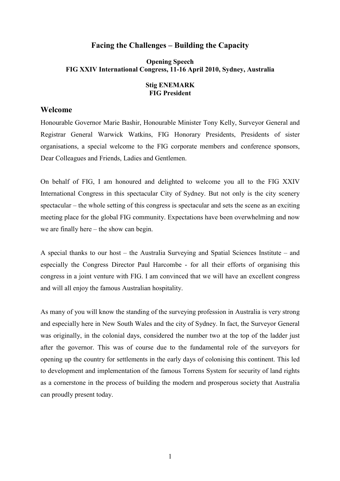## **Facing the Challenges – Building the Capacity**

### **Opening Speech FIG XXIV International Congress, 11-16 April 2010, Sydney, Australia**

#### **Stig ENEMARK FIG President**

#### **Welcome**

Honourable Governor Marie Bashir, Honourable Minister Tony Kelly, Surveyor General and Registrar General Warwick Watkins, FIG Honorary Presidents, Presidents of sister organisations, a special welcome to the FIG corporate members and conference sponsors, Dear Colleagues and Friends, Ladies and Gentlemen.

On behalf of FIG, I am honoured and delighted to welcome you all to the FIG XXIV International Congress in this spectacular City of Sydney. But not only is the city scenery spectacular – the whole setting of this congress is spectacular and sets the scene as an exciting meeting place for the global FIG community. Expectations have been overwhelming and now we are finally here – the show can begin.

A special thanks to our host – the Australia Surveying and Spatial Sciences Institute – and especially the Congress Director Paul Harcombe - for all their efforts of organising this congress in a joint venture with FIG. I am convinced that we will have an excellent congress and will all enjoy the famous Australian hospitality.

As many of you will know the standing of the surveying profession in Australia is very strong and especially here in New South Wales and the city of Sydney. In fact, the Surveyor General was originally, in the colonial days, considered the number two at the top of the ladder just after the governor. This was of course due to the fundamental role of the surveyors for opening up the country for settlements in the early days of colonising this continent. This led to development and implementation of the famous Torrens System for security of land rights as a cornerstone in the process of building the modern and prosperous society that Australia can proudly present today.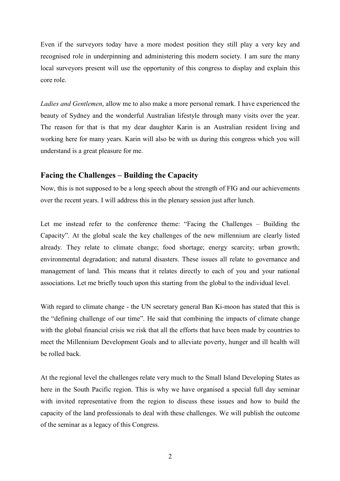Even if the surveyors today have a more modest position they still play a very key and recognised role in underpinning and administering this modern society. I am sure the many local surveyors present will use the opportunity of this congress to display and explain this core role.

*Ladies and Gentlemen*, allow me to also make a more personal remark. I have experienced the beauty of Sydney and the wonderful Australian lifestyle through many visits over the year. The reason for that is that my dear daughter Karin is an Australian resident living and working here for many years. Karin will also be with us during this congress which you will understand is a great pleasure for me.

# **Facing the Challenges – Building the Capacity**

Now, this is not supposed to be a long speech about the strength of FIG and our achievements over the recent years. I will address this in the plenary session just after lunch.

Let me instead refer to the conference theme: "Facing the Challenges – Building the Capacity". At the global scale the key challenges of the new millennium are clearly listed already. They relate to climate change; food shortage; energy scarcity; urban growth; environmental degradation; and natural disasters. These issues all relate to governance and management of land. This means that it relates directly to each of you and your national associations. Let me briefly touch upon this starting from the global to the individual level.

With regard to climate change - the UN secretary general Ban Ki-moon has stated that this is the "defining challenge of our time". He said that combining the impacts of climate change with the global financial crisis we risk that all the efforts that have been made by countries to meet the Millennium Development Goals and to alleviate poverty, hunger and ill health will be rolled back.

At the regional level the challenges relate very much to the Small Island Developing States as here in the South Pacific region. This is why we have organised a special full day seminar with invited representative from the region to discuss these issues and how to build the capacity of the land professionals to deal with these challenges. We will publish the outcome of the seminar as a legacy of this Congress.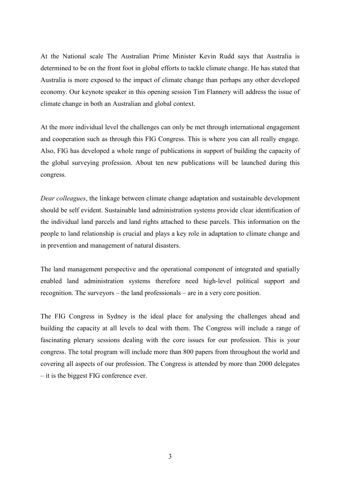At the National scale The Australian Prime Minister Kevin Rudd says that Australia is determined to be on the front foot in global efforts to tackle climate change. He has stated that Australia is more exposed to the impact of climate change than perhaps any other developed economy. Our keynote speaker in this opening session Tim Flannery will address the issue of climate change in both an Australian and global context.

At the more individual level the challenges can only be met through international engagement and cooperation such as through this FIG Congress. This is where you can all really engage. Also, FIG has developed a whole range of publications in support of building the capacity of the global surveying profession. About ten new publications will be launched during this congress.

*Dear colleagues*, the linkage between climate change adaptation and sustainable development should be self evident. Sustainable land administration systems provide clear identification of the individual land parcels and land rights attached to these parcels. This information on the people to land relationship is crucial and plays a key role in adaptation to climate change and in prevention and management of natural disasters.

The land management perspective and the operational component of integrated and spatially enabled land administration systems therefore need high-level political support and recognition. The surveyors – the land professionals – are in a very core position.

The FIG Congress in Sydney is the ideal place for analysing the challenges ahead and building the capacity at all levels to deal with them. The Congress will include a range of fascinating plenary sessions dealing with the core issues for our profession. This is your congress. The total program will include more than 800 papers from throughout the world and covering all aspects of our profession. The Congress is attended by more than 2000 delegates – it is the biggest FIG conference ever.